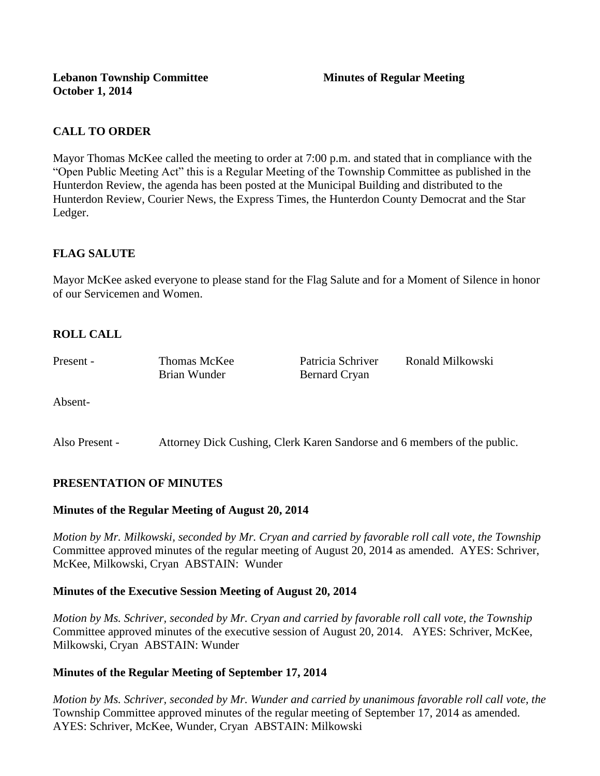## **CALL TO ORDER**

Mayor Thomas McKee called the meeting to order at 7:00 p.m. and stated that in compliance with the "Open Public Meeting Act" this is a Regular Meeting of the Township Committee as published in the Hunterdon Review, the agenda has been posted at the Municipal Building and distributed to the Hunterdon Review, Courier News, the Express Times, the Hunterdon County Democrat and the Star Ledger.

## **FLAG SALUTE**

Mayor McKee asked everyone to please stand for the Flag Salute and for a Moment of Silence in honor of our Servicemen and Women.

# **ROLL CALL**

| Present - | Thomas McKee | Patricia Schriver | Ronald Milkowski |
|-----------|--------------|-------------------|------------------|
|           | Brian Wunder | Bernard Cryan     |                  |
|           |              |                   |                  |

Absent-

Also Present - Attorney Dick Cushing, Clerk Karen Sandorse and 6 members of the public.

## **PRESENTATION OF MINUTES**

#### **Minutes of the Regular Meeting of August 20, 2014**

*Motion by Mr. Milkowski, seconded by Mr. Cryan and carried by favorable roll call vote, the Township* Committee approved minutes of the regular meeting of August 20, 2014 as amended. AYES: Schriver, McKee, Milkowski, Cryan ABSTAIN: Wunder

#### **Minutes of the Executive Session Meeting of August 20, 2014**

*Motion by Ms. Schriver, seconded by Mr. Cryan and carried by favorable roll call vote, the Township* Committee approved minutes of the executive session of August 20, 2014. AYES: Schriver, McKee, Milkowski, Cryan ABSTAIN: Wunder

#### **Minutes of the Regular Meeting of September 17, 2014**

*Motion by Ms. Schriver, seconded by Mr. Wunder and carried by unanimous favorable roll call vote, the*  Township Committee approved minutes of the regular meeting of September 17, 2014 as amended. AYES: Schriver, McKee, Wunder, Cryan ABSTAIN: Milkowski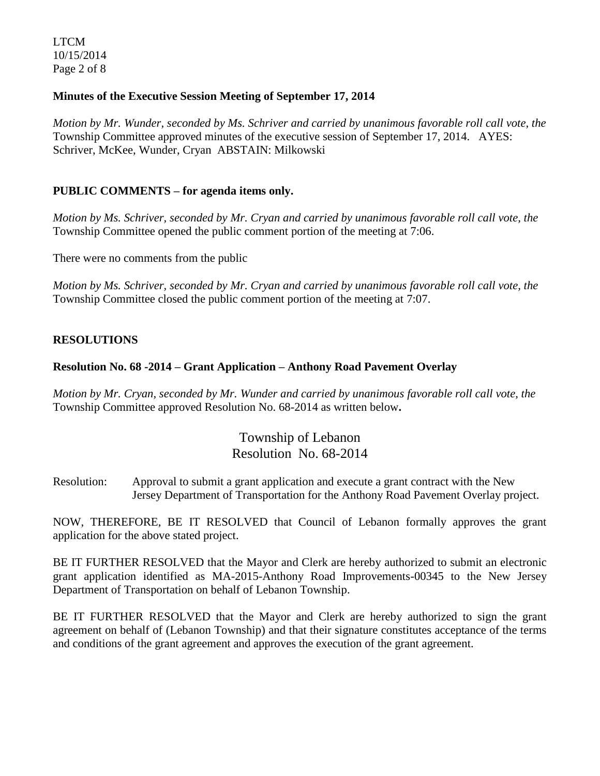LTCM 10/15/2014 Page 2 of 8

## **Minutes of the Executive Session Meeting of September 17, 2014**

*Motion by Mr. Wunder, seconded by Ms. Schriver and carried by unanimous favorable roll call vote, the*  Township Committee approved minutes of the executive session of September 17, 2014. AYES: Schriver, McKee, Wunder, Cryan ABSTAIN: Milkowski

### **PUBLIC COMMENTS – for agenda items only.**

*Motion by Ms. Schriver, seconded by Mr. Cryan and carried by unanimous favorable roll call vote, the* Township Committee opened the public comment portion of the meeting at 7:06.

There were no comments from the public

*Motion by Ms. Schriver, seconded by Mr. Cryan and carried by unanimous favorable roll call vote, the* Township Committee closed the public comment portion of the meeting at 7:07.

### **RESOLUTIONS**

#### **Resolution No. 68 -2014 – Grant Application – Anthony Road Pavement Overlay**

*Motion by Mr. Cryan, seconded by Mr. Wunder and carried by unanimous favorable roll call vote*, *the* Township Committee approved Resolution No. 68-2014 as written below**.** 

# Township of Lebanon Resolution No. 68-2014

Resolution: Approval to submit a grant application and execute a grant contract with the New Jersey Department of Transportation for the Anthony Road Pavement Overlay project.

NOW, THEREFORE, BE IT RESOLVED that Council of Lebanon formally approves the grant application for the above stated project.

BE IT FURTHER RESOLVED that the Mayor and Clerk are hereby authorized to submit an electronic grant application identified as MA-2015-Anthony Road Improvements-00345 to the New Jersey Department of Transportation on behalf of Lebanon Township.

BE IT FURTHER RESOLVED that the Mayor and Clerk are hereby authorized to sign the grant agreement on behalf of (Lebanon Township) and that their signature constitutes acceptance of the terms and conditions of the grant agreement and approves the execution of the grant agreement.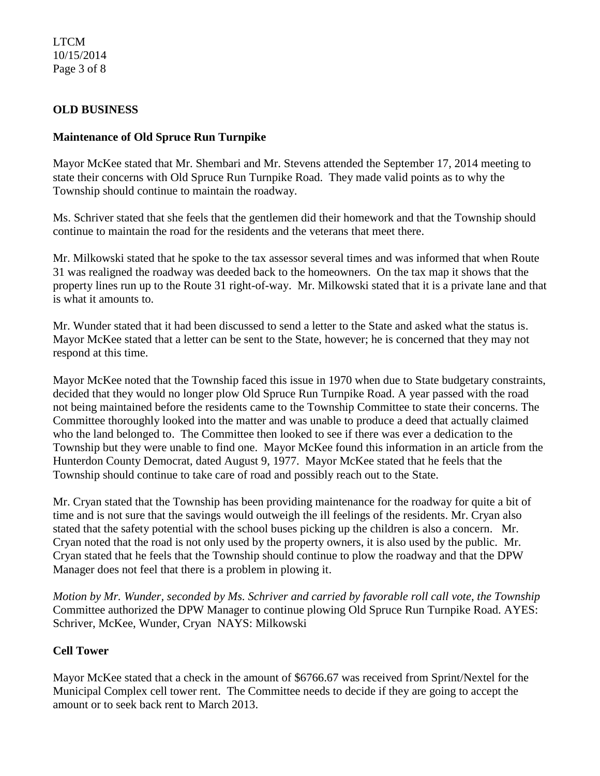## LTCM 10/15/2014 Page 3 of 8

## **OLD BUSINESS**

### **Maintenance of Old Spruce Run Turnpike**

Mayor McKee stated that Mr. Shembari and Mr. Stevens attended the September 17, 2014 meeting to state their concerns with Old Spruce Run Turnpike Road. They made valid points as to why the Township should continue to maintain the roadway.

Ms. Schriver stated that she feels that the gentlemen did their homework and that the Township should continue to maintain the road for the residents and the veterans that meet there.

Mr. Milkowski stated that he spoke to the tax assessor several times and was informed that when Route 31 was realigned the roadway was deeded back to the homeowners. On the tax map it shows that the property lines run up to the Route 31 right-of-way. Mr. Milkowski stated that it is a private lane and that is what it amounts to.

Mr. Wunder stated that it had been discussed to send a letter to the State and asked what the status is. Mayor McKee stated that a letter can be sent to the State, however; he is concerned that they may not respond at this time.

Mayor McKee noted that the Township faced this issue in 1970 when due to State budgetary constraints, decided that they would no longer plow Old Spruce Run Turnpike Road. A year passed with the road not being maintained before the residents came to the Township Committee to state their concerns. The Committee thoroughly looked into the matter and was unable to produce a deed that actually claimed who the land belonged to. The Committee then looked to see if there was ever a dedication to the Township but they were unable to find one. Mayor McKee found this information in an article from the Hunterdon County Democrat, dated August 9, 1977. Mayor McKee stated that he feels that the Township should continue to take care of road and possibly reach out to the State.

Mr. Cryan stated that the Township has been providing maintenance for the roadway for quite a bit of time and is not sure that the savings would outweigh the ill feelings of the residents. Mr. Cryan also stated that the safety potential with the school buses picking up the children is also a concern. Mr. Cryan noted that the road is not only used by the property owners, it is also used by the public. Mr. Cryan stated that he feels that the Township should continue to plow the roadway and that the DPW Manager does not feel that there is a problem in plowing it.

*Motion by Mr. Wunder, seconded by Ms. Schriver and carried by favorable roll call vote*, *the Township* Committee authorized the DPW Manager to continue plowing Old Spruce Run Turnpike Road. AYES: Schriver, McKee, Wunder, Cryan NAYS: Milkowski

## **Cell Tower**

Mayor McKee stated that a check in the amount of \$6766.67 was received from Sprint/Nextel for the Municipal Complex cell tower rent. The Committee needs to decide if they are going to accept the amount or to seek back rent to March 2013.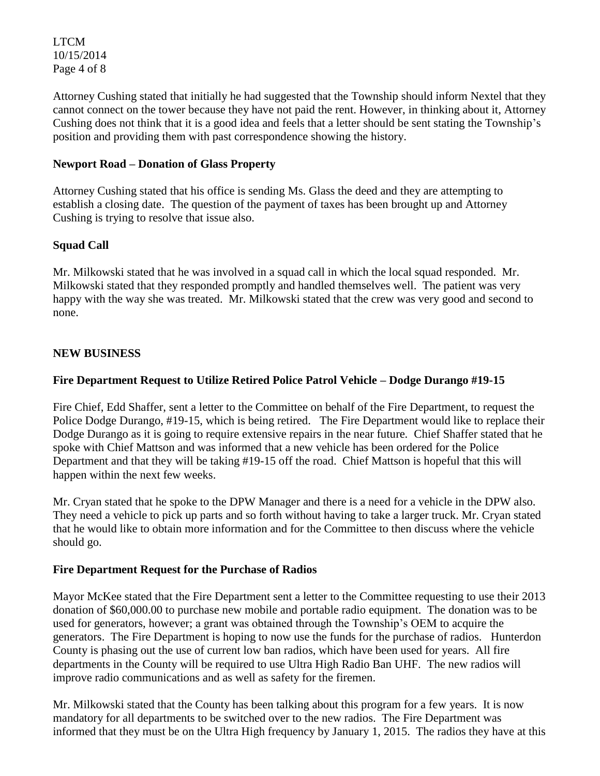LTCM 10/15/2014 Page 4 of 8

Attorney Cushing stated that initially he had suggested that the Township should inform Nextel that they cannot connect on the tower because they have not paid the rent. However, in thinking about it, Attorney Cushing does not think that it is a good idea and feels that a letter should be sent stating the Township's position and providing them with past correspondence showing the history.

## **Newport Road – Donation of Glass Property**

Attorney Cushing stated that his office is sending Ms. Glass the deed and they are attempting to establish a closing date. The question of the payment of taxes has been brought up and Attorney Cushing is trying to resolve that issue also.

## **Squad Call**

Mr. Milkowski stated that he was involved in a squad call in which the local squad responded. Mr. Milkowski stated that they responded promptly and handled themselves well. The patient was very happy with the way she was treated. Mr. Milkowski stated that the crew was very good and second to none.

### **NEW BUSINESS**

### **Fire Department Request to Utilize Retired Police Patrol Vehicle – Dodge Durango #19-15**

Fire Chief, Edd Shaffer, sent a letter to the Committee on behalf of the Fire Department, to request the Police Dodge Durango, #19-15, which is being retired. The Fire Department would like to replace their Dodge Durango as it is going to require extensive repairs in the near future. Chief Shaffer stated that he spoke with Chief Mattson and was informed that a new vehicle has been ordered for the Police Department and that they will be taking #19-15 off the road. Chief Mattson is hopeful that this will happen within the next few weeks.

Mr. Cryan stated that he spoke to the DPW Manager and there is a need for a vehicle in the DPW also. They need a vehicle to pick up parts and so forth without having to take a larger truck. Mr. Cryan stated that he would like to obtain more information and for the Committee to then discuss where the vehicle should go.

#### **Fire Department Request for the Purchase of Radios**

Mayor McKee stated that the Fire Department sent a letter to the Committee requesting to use their 2013 donation of \$60,000.00 to purchase new mobile and portable radio equipment. The donation was to be used for generators, however; a grant was obtained through the Township's OEM to acquire the generators. The Fire Department is hoping to now use the funds for the purchase of radios. Hunterdon County is phasing out the use of current low ban radios, which have been used for years. All fire departments in the County will be required to use Ultra High Radio Ban UHF. The new radios will improve radio communications and as well as safety for the firemen.

Mr. Milkowski stated that the County has been talking about this program for a few years. It is now mandatory for all departments to be switched over to the new radios. The Fire Department was informed that they must be on the Ultra High frequency by January 1, 2015. The radios they have at this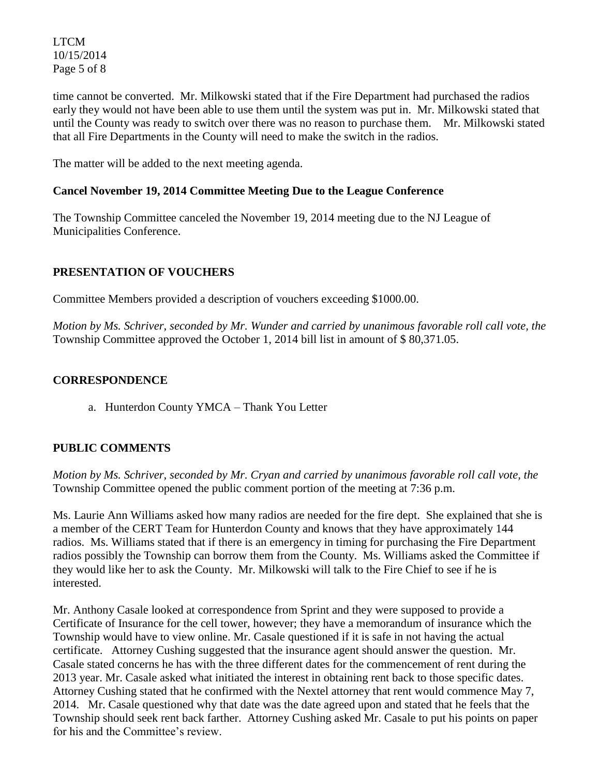LTCM 10/15/2014 Page 5 of 8

time cannot be converted. Mr. Milkowski stated that if the Fire Department had purchased the radios early they would not have been able to use them until the system was put in. Mr. Milkowski stated that until the County was ready to switch over there was no reason to purchase them. Mr. Milkowski stated that all Fire Departments in the County will need to make the switch in the radios.

The matter will be added to the next meeting agenda.

## **Cancel November 19, 2014 Committee Meeting Due to the League Conference**

The Township Committee canceled the November 19, 2014 meeting due to the NJ League of Municipalities Conference.

## **PRESENTATION OF VOUCHERS**

Committee Members provided a description of vouchers exceeding \$1000.00.

*Motion by Ms. Schriver, seconded by Mr. Wunder and carried by unanimous favorable roll call vote, the* Township Committee approved the October 1, 2014 bill list in amount of \$ 80,371.05.

### **CORRESPONDENCE**

a. Hunterdon County YMCA – Thank You Letter

## **PUBLIC COMMENTS**

*Motion by Ms. Schriver, seconded by Mr. Cryan and carried by unanimous favorable roll call vote, the* Township Committee opened the public comment portion of the meeting at 7:36 p.m.

Ms. Laurie Ann Williams asked how many radios are needed for the fire dept. She explained that she is a member of the CERT Team for Hunterdon County and knows that they have approximately 144 radios. Ms. Williams stated that if there is an emergency in timing for purchasing the Fire Department radios possibly the Township can borrow them from the County. Ms. Williams asked the Committee if they would like her to ask the County. Mr. Milkowski will talk to the Fire Chief to see if he is interested.

Mr. Anthony Casale looked at correspondence from Sprint and they were supposed to provide a Certificate of Insurance for the cell tower, however; they have a memorandum of insurance which the Township would have to view online. Mr. Casale questioned if it is safe in not having the actual certificate. Attorney Cushing suggested that the insurance agent should answer the question. Mr. Casale stated concerns he has with the three different dates for the commencement of rent during the 2013 year. Mr. Casale asked what initiated the interest in obtaining rent back to those specific dates. Attorney Cushing stated that he confirmed with the Nextel attorney that rent would commence May 7, 2014. Mr. Casale questioned why that date was the date agreed upon and stated that he feels that the Township should seek rent back farther. Attorney Cushing asked Mr. Casale to put his points on paper for his and the Committee's review.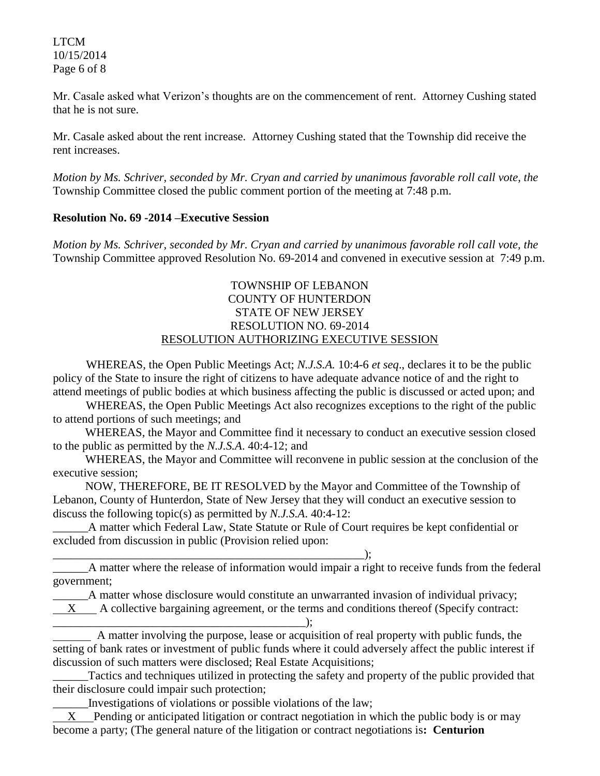LTCM 10/15/2014 Page 6 of 8

Mr. Casale asked what Verizon's thoughts are on the commencement of rent. Attorney Cushing stated that he is not sure.

Mr. Casale asked about the rent increase. Attorney Cushing stated that the Township did receive the rent increases.

*Motion by Ms. Schriver, seconded by Mr. Cryan and carried by unanimous favorable roll call vote, the* Township Committee closed the public comment portion of the meeting at 7:48 p.m.

### **Resolution No. 69 -2014 –Executive Session**

*Motion by Ms. Schriver, seconded by Mr. Cryan and carried by unanimous favorable roll call vote, the* Township Committee approved Resolution No. 69-2014 and convened in executive session at 7:49 p.m.

## TOWNSHIP OF LEBANON COUNTY OF HUNTERDON STATE OF NEW JERSEY RESOLUTION NO. 69-2014 RESOLUTION AUTHORIZING EXECUTIVE SESSION

WHEREAS, the Open Public Meetings Act; *N.J.S.A.* 10:4-6 *et seq*., declares it to be the public policy of the State to insure the right of citizens to have adequate advance notice of and the right to attend meetings of public bodies at which business affecting the public is discussed or acted upon; and

WHEREAS, the Open Public Meetings Act also recognizes exceptions to the right of the public to attend portions of such meetings; and

 WHEREAS, the Mayor and Committee find it necessary to conduct an executive session closed to the public as permitted by the *N.J.S.A*. 40:4-12; and

 WHEREAS, the Mayor and Committee will reconvene in public session at the conclusion of the executive session;

 NOW, THEREFORE, BE IT RESOLVED by the Mayor and Committee of the Township of Lebanon, County of Hunterdon, State of New Jersey that they will conduct an executive session to discuss the following topic(s) as permitted by *N.J.S.A*. 40:4-12:

\_\_\_\_\_\_A matter which Federal Law, State Statute or Rule of Court requires be kept confidential or excluded from discussion in public (Provision relied upon:

 $\qquad \qquad ; \qquad$ 

\_\_\_\_\_\_A matter where the release of information would impair a right to receive funds from the federal government;

\_\_\_\_\_\_A matter whose disclosure would constitute an unwarranted invasion of individual privacy;

 $X$  A collective bargaining agreement, or the terms and conditions thereof (Specify contract: \_\_\_\_\_\_\_\_\_\_\_\_\_\_\_\_\_\_\_\_\_\_\_\_\_\_\_\_\_\_\_\_\_\_\_\_\_\_\_\_\_\_\_);

 A matter involving the purpose, lease or acquisition of real property with public funds, the setting of bank rates or investment of public funds where it could adversely affect the public interest if discussion of such matters were disclosed; Real Estate Acquisitions;

Tactics and techniques utilized in protecting the safety and property of the public provided that their disclosure could impair such protection;

\_\_\_\_\_\_Investigations of violations or possible violations of the law;

 X Pending or anticipated litigation or contract negotiation in which the public body is or may become a party; (The general nature of the litigation or contract negotiations is**: Centurion**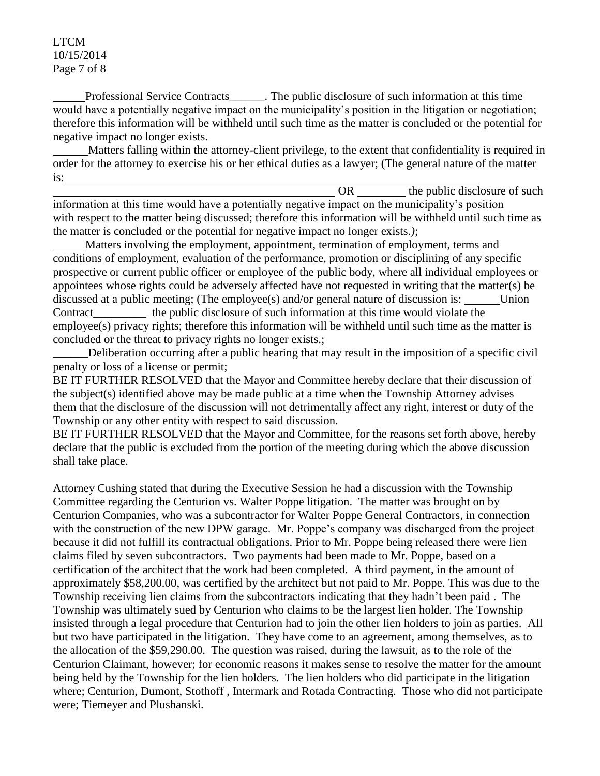LTCM 10/15/2014 Page 7 of 8

 Professional Service Contracts\_\_\_\_\_\_. The public disclosure of such information at this time would have a potentially negative impact on the municipality's position in the litigation or negotiation; therefore this information will be withheld until such time as the matter is concluded or the potential for negative impact no longer exists.

 Matters falling within the attorney-client privilege, to the extent that confidentiality is required in order for the attorney to exercise his or her ethical duties as a lawyer; (The general nature of the matter is:

OR the public disclosure of such information at this time would have a potentially negative impact on the municipality's position with respect to the matter being discussed; therefore this information will be withheld until such time as the matter is concluded or the potential for negative impact no longer exists.*)*;

 Matters involving the employment, appointment, termination of employment, terms and conditions of employment, evaluation of the performance, promotion or disciplining of any specific prospective or current public officer or employee of the public body, where all individual employees or appointees whose rights could be adversely affected have not requested in writing that the matter(s) be discussed at a public meeting; (The employee(s) and/or general nature of discussion is: Union Contract the public disclosure of such information at this time would violate the employee(s) privacy rights; therefore this information will be withheld until such time as the matter is concluded or the threat to privacy rights no longer exists.;

\_\_\_\_\_\_Deliberation occurring after a public hearing that may result in the imposition of a specific civil penalty or loss of a license or permit;

BE IT FURTHER RESOLVED that the Mayor and Committee hereby declare that their discussion of the subject(s) identified above may be made public at a time when the Township Attorney advises them that the disclosure of the discussion will not detrimentally affect any right, interest or duty of the Township or any other entity with respect to said discussion.

BE IT FURTHER RESOLVED that the Mayor and Committee, for the reasons set forth above, hereby declare that the public is excluded from the portion of the meeting during which the above discussion shall take place.

Attorney Cushing stated that during the Executive Session he had a discussion with the Township Committee regarding the Centurion vs. Walter Poppe litigation. The matter was brought on by Centurion Companies, who was a subcontractor for Walter Poppe General Contractors, in connection with the construction of the new DPW garage. Mr. Poppe's company was discharged from the project because it did not fulfill its contractual obligations. Prior to Mr. Poppe being released there were lien claims filed by seven subcontractors. Two payments had been made to Mr. Poppe, based on a certification of the architect that the work had been completed. A third payment, in the amount of approximately \$58,200.00, was certified by the architect but not paid to Mr. Poppe. This was due to the Township receiving lien claims from the subcontractors indicating that they hadn't been paid . The Township was ultimately sued by Centurion who claims to be the largest lien holder. The Township insisted through a legal procedure that Centurion had to join the other lien holders to join as parties. All but two have participated in the litigation. They have come to an agreement, among themselves, as to the allocation of the \$59,290.00. The question was raised, during the lawsuit, as to the role of the Centurion Claimant, however; for economic reasons it makes sense to resolve the matter for the amount being held by the Township for the lien holders. The lien holders who did participate in the litigation where; Centurion, Dumont, Stothoff , Intermark and Rotada Contracting. Those who did not participate were; Tiemeyer and Plushanski.